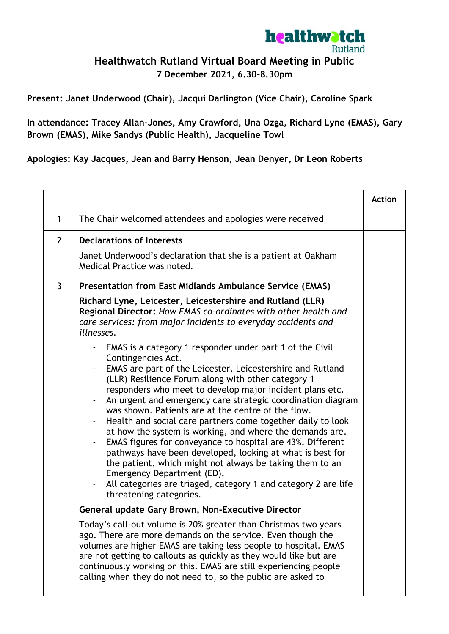

## **Healthwatch Rutland Virtual Board Meeting in Public**

**7 December 2021, 6.30-8.30pm**

**Present: Janet Underwood (Chair), Jacqui Darlington (Vice Chair), Caroline Spark**

**In attendance: Tracey Allan-Jones, Amy Crawford, Una Ozga, Richard Lyne (EMAS), Gary Brown (EMAS), Mike Sandys (Public Health), Jacqueline Towl**

**Apologies: Kay Jacques, Jean and Barry Henson, Jean Denyer, Dr Leon Roberts**

|                |                                                                                                                                                                                                                                                                                                                                                                                                                                                                                                                                                                                                                                                                                                                                                                                                                                                                                                                                                                                                                                                | <b>Action</b> |
|----------------|------------------------------------------------------------------------------------------------------------------------------------------------------------------------------------------------------------------------------------------------------------------------------------------------------------------------------------------------------------------------------------------------------------------------------------------------------------------------------------------------------------------------------------------------------------------------------------------------------------------------------------------------------------------------------------------------------------------------------------------------------------------------------------------------------------------------------------------------------------------------------------------------------------------------------------------------------------------------------------------------------------------------------------------------|---------------|
| 1              | The Chair welcomed attendees and apologies were received                                                                                                                                                                                                                                                                                                                                                                                                                                                                                                                                                                                                                                                                                                                                                                                                                                                                                                                                                                                       |               |
| $\overline{2}$ | <b>Declarations of Interests</b><br>Janet Underwood's declaration that she is a patient at Oakham<br>Medical Practice was noted.                                                                                                                                                                                                                                                                                                                                                                                                                                                                                                                                                                                                                                                                                                                                                                                                                                                                                                               |               |
| 3              | <b>Presentation from East Midlands Ambulance Service (EMAS)</b>                                                                                                                                                                                                                                                                                                                                                                                                                                                                                                                                                                                                                                                                                                                                                                                                                                                                                                                                                                                |               |
|                | Richard Lyne, Leicester, Leicestershire and Rutland (LLR)<br>Regional Director: How EMAS co-ordinates with other health and<br>care services: from major incidents to everyday accidents and<br>illnesses.<br>EMAS is a category 1 responder under part 1 of the Civil<br>Contingencies Act.<br>EMAS are part of the Leicester, Leicestershire and Rutland<br>(LLR) Resilience Forum along with other category 1<br>responders who meet to develop major incident plans etc.<br>An urgent and emergency care strategic coordination diagram<br>was shown. Patients are at the centre of the flow.<br>Health and social care partners come together daily to look<br>at how the system is working, and where the demands are.<br>EMAS figures for conveyance to hospital are 43%. Different<br>pathways have been developed, looking at what is best for<br>the patient, which might not always be taking them to an<br>Emergency Department (ED).<br>All categories are triaged, category 1 and category 2 are life<br>threatening categories. |               |
|                | General update Gary Brown, Non-Executive Director                                                                                                                                                                                                                                                                                                                                                                                                                                                                                                                                                                                                                                                                                                                                                                                                                                                                                                                                                                                              |               |
|                | Today's call-out volume is 20% greater than Christmas two years<br>ago. There are more demands on the service. Even though the<br>volumes are higher EMAS are taking less people to hospital. EMAS<br>are not getting to callouts as quickly as they would like but are<br>continuously working on this. EMAS are still experiencing people<br>calling when they do not need to, so the public are asked to                                                                                                                                                                                                                                                                                                                                                                                                                                                                                                                                                                                                                                    |               |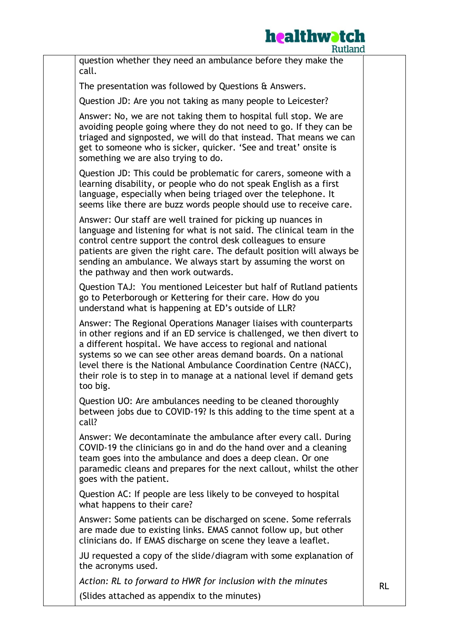

| Ruuand                                                                                                                                                                                                                                                                                                                                                                                                                                   |           |
|------------------------------------------------------------------------------------------------------------------------------------------------------------------------------------------------------------------------------------------------------------------------------------------------------------------------------------------------------------------------------------------------------------------------------------------|-----------|
| question whether they need an ambulance before they make the<br>call.                                                                                                                                                                                                                                                                                                                                                                    |           |
| The presentation was followed by Questions & Answers.                                                                                                                                                                                                                                                                                                                                                                                    |           |
| Question JD: Are you not taking as many people to Leicester?                                                                                                                                                                                                                                                                                                                                                                             |           |
| Answer: No, we are not taking them to hospital full stop. We are<br>avoiding people going where they do not need to go. If they can be<br>triaged and signposted, we will do that instead. That means we can<br>get to someone who is sicker, quicker. 'See and treat' onsite is<br>something we are also trying to do.                                                                                                                  |           |
| Question JD: This could be problematic for carers, someone with a<br>learning disability, or people who do not speak English as a first<br>language, especially when being triaged over the telephone. It<br>seems like there are buzz words people should use to receive care.                                                                                                                                                          |           |
| Answer: Our staff are well trained for picking up nuances in<br>language and listening for what is not said. The clinical team in the<br>control centre support the control desk colleagues to ensure<br>patients are given the right care. The default position will always be<br>sending an ambulance. We always start by assuming the worst on<br>the pathway and then work outwards.                                                 |           |
| Question TAJ: You mentioned Leicester but half of Rutland patients<br>go to Peterborough or Kettering for their care. How do you<br>understand what is happening at ED's outside of LLR?                                                                                                                                                                                                                                                 |           |
| Answer: The Regional Operations Manager liaises with counterparts<br>in other regions and if an ED service is challenged, we then divert to<br>a different hospital. We have access to regional and national<br>systems so we can see other areas demand boards. On a national<br>level there is the National Ambulance Coordination Centre (NACC),<br>their role is to step in to manage at a national level if demand gets<br>too big. |           |
| Question UO: Are ambulances needing to be cleaned thoroughly<br>between jobs due to COVID-19? Is this adding to the time spent at a<br>call?                                                                                                                                                                                                                                                                                             |           |
| Answer: We decontaminate the ambulance after every call. During<br>COVID-19 the clinicians go in and do the hand over and a cleaning<br>team goes into the ambulance and does a deep clean. Or one<br>paramedic cleans and prepares for the next callout, whilst the other<br>goes with the patient.                                                                                                                                     |           |
| Question AC: If people are less likely to be conveyed to hospital<br>what happens to their care?                                                                                                                                                                                                                                                                                                                                         |           |
| Answer: Some patients can be discharged on scene. Some referrals<br>are made due to existing links. EMAS cannot follow up, but other<br>clinicians do. If EMAS discharge on scene they leave a leaflet.                                                                                                                                                                                                                                  |           |
| JU requested a copy of the slide/diagram with some explanation of<br>the acronyms used.                                                                                                                                                                                                                                                                                                                                                  |           |
| Action: RL to forward to HWR for inclusion with the minutes                                                                                                                                                                                                                                                                                                                                                                              | <b>RL</b> |
| (Slides attached as appendix to the minutes)                                                                                                                                                                                                                                                                                                                                                                                             |           |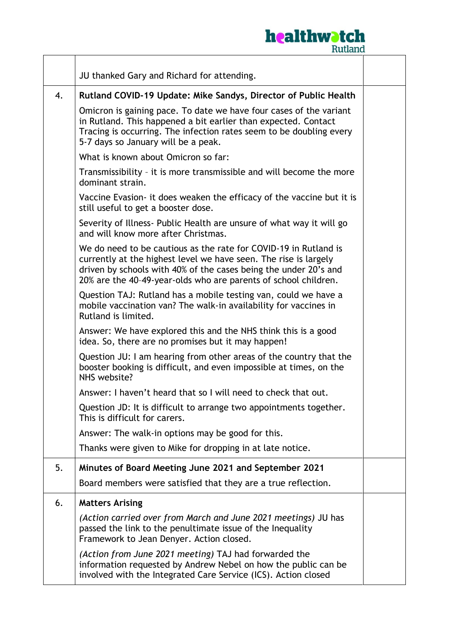

|    | JU thanked Gary and Richard for attending.                                                                                                                                                                                                                                  |  |
|----|-----------------------------------------------------------------------------------------------------------------------------------------------------------------------------------------------------------------------------------------------------------------------------|--|
| 4. | Rutland COVID-19 Update: Mike Sandys, Director of Public Health                                                                                                                                                                                                             |  |
|    | Omicron is gaining pace. To date we have four cases of the variant<br>in Rutland. This happened a bit earlier than expected. Contact<br>Tracing is occurring. The infection rates seem to be doubling every<br>5-7 days so January will be a peak.                          |  |
|    | What is known about Omicron so far:                                                                                                                                                                                                                                         |  |
|    | Transmissibility - it is more transmissible and will become the more<br>dominant strain.                                                                                                                                                                                    |  |
|    | Vaccine Evasion- it does weaken the efficacy of the vaccine but it is<br>still useful to get a booster dose.                                                                                                                                                                |  |
|    | Severity of Illness- Public Health are unsure of what way it will go<br>and will know more after Christmas.                                                                                                                                                                 |  |
|    | We do need to be cautious as the rate for COVID-19 in Rutland is<br>currently at the highest level we have seen. The rise is largely<br>driven by schools with 40% of the cases being the under 20's and<br>20% are the 40-49-year-olds who are parents of school children. |  |
|    | Question TAJ: Rutland has a mobile testing van, could we have a<br>mobile vaccination van? The walk-in availability for vaccines in<br>Rutland is limited.                                                                                                                  |  |
|    | Answer: We have explored this and the NHS think this is a good<br>idea. So, there are no promises but it may happen!                                                                                                                                                        |  |
|    | Question JU: I am hearing from other areas of the country that the<br>booster booking is difficult, and even impossible at times, on the<br>NHS website?                                                                                                                    |  |
|    | Answer: I haven't heard that so I will need to check that out.                                                                                                                                                                                                              |  |
|    | Question JD: It is difficult to arrange two appointments together.<br>This is difficult for carers.                                                                                                                                                                         |  |
|    | Answer: The walk-in options may be good for this.                                                                                                                                                                                                                           |  |
|    | Thanks were given to Mike for dropping in at late notice.                                                                                                                                                                                                                   |  |
| 5. | Minutes of Board Meeting June 2021 and September 2021                                                                                                                                                                                                                       |  |
|    | Board members were satisfied that they are a true reflection.                                                                                                                                                                                                               |  |
| 6. | <b>Matters Arising</b>                                                                                                                                                                                                                                                      |  |
|    | (Action carried over from March and June 2021 meetings) JU has<br>passed the link to the penultimate issue of the Inequality<br>Framework to Jean Denyer. Action closed.                                                                                                    |  |
|    | (Action from June 2021 meeting) TAJ had forwarded the<br>information requested by Andrew Nebel on how the public can be<br>involved with the Integrated Care Service (ICS). Action closed                                                                                   |  |

 $\mathbf{r}$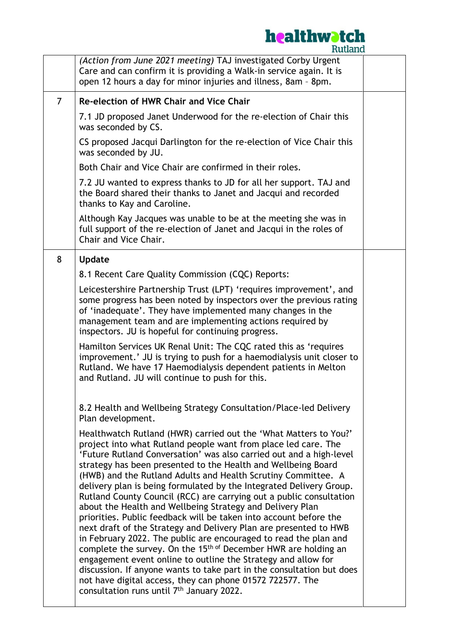## **healthwatch**

| (Action from June 2021 meeting) TAJ investigated Corby Urgent<br>Care and can confirm it is providing a Walk-in service again. It is<br>open 12 hours a day for minor injuries and illness, 8am - 8pm.                                                                                                                                                                                                                                                                                                                                                                                                                                                                                                                                                                                                                                                                                                                                                                                                                                                                                                              |  |
|---------------------------------------------------------------------------------------------------------------------------------------------------------------------------------------------------------------------------------------------------------------------------------------------------------------------------------------------------------------------------------------------------------------------------------------------------------------------------------------------------------------------------------------------------------------------------------------------------------------------------------------------------------------------------------------------------------------------------------------------------------------------------------------------------------------------------------------------------------------------------------------------------------------------------------------------------------------------------------------------------------------------------------------------------------------------------------------------------------------------|--|
| <b>Re-election of HWR Chair and Vice Chair</b>                                                                                                                                                                                                                                                                                                                                                                                                                                                                                                                                                                                                                                                                                                                                                                                                                                                                                                                                                                                                                                                                      |  |
| 7.1 JD proposed Janet Underwood for the re-election of Chair this<br>was seconded by CS.                                                                                                                                                                                                                                                                                                                                                                                                                                                                                                                                                                                                                                                                                                                                                                                                                                                                                                                                                                                                                            |  |
| CS proposed Jacqui Darlington for the re-election of Vice Chair this<br>was seconded by JU.                                                                                                                                                                                                                                                                                                                                                                                                                                                                                                                                                                                                                                                                                                                                                                                                                                                                                                                                                                                                                         |  |
| Both Chair and Vice Chair are confirmed in their roles.                                                                                                                                                                                                                                                                                                                                                                                                                                                                                                                                                                                                                                                                                                                                                                                                                                                                                                                                                                                                                                                             |  |
| 7.2 JU wanted to express thanks to JD for all her support. TAJ and<br>the Board shared their thanks to Janet and Jacqui and recorded<br>thanks to Kay and Caroline.                                                                                                                                                                                                                                                                                                                                                                                                                                                                                                                                                                                                                                                                                                                                                                                                                                                                                                                                                 |  |
| Although Kay Jacques was unable to be at the meeting she was in<br>full support of the re-election of Janet and Jacqui in the roles of<br>Chair and Vice Chair.                                                                                                                                                                                                                                                                                                                                                                                                                                                                                                                                                                                                                                                                                                                                                                                                                                                                                                                                                     |  |
| <b>Update</b>                                                                                                                                                                                                                                                                                                                                                                                                                                                                                                                                                                                                                                                                                                                                                                                                                                                                                                                                                                                                                                                                                                       |  |
| 8.1 Recent Care Quality Commission (CQC) Reports:                                                                                                                                                                                                                                                                                                                                                                                                                                                                                                                                                                                                                                                                                                                                                                                                                                                                                                                                                                                                                                                                   |  |
| Leicestershire Partnership Trust (LPT) 'requires improvement', and<br>some progress has been noted by inspectors over the previous rating<br>of 'inadequate'. They have implemented many changes in the<br>management team and are implementing actions required by<br>inspectors. JU is hopeful for continuing progress.                                                                                                                                                                                                                                                                                                                                                                                                                                                                                                                                                                                                                                                                                                                                                                                           |  |
| Hamilton Services UK Renal Unit: The CQC rated this as 'requires<br>improvement.' JU is trying to push for a haemodialysis unit closer to<br>Rutland. We have 17 Haemodialysis dependent patients in Melton<br>and Rutland. JU will continue to push for this.                                                                                                                                                                                                                                                                                                                                                                                                                                                                                                                                                                                                                                                                                                                                                                                                                                                      |  |
| 8.2 Health and Wellbeing Strategy Consultation/Place-led Delivery<br>Plan development.                                                                                                                                                                                                                                                                                                                                                                                                                                                                                                                                                                                                                                                                                                                                                                                                                                                                                                                                                                                                                              |  |
| Healthwatch Rutland (HWR) carried out the 'What Matters to You?'<br>project into what Rutland people want from place led care. The<br>'Future Rutland Conversation' was also carried out and a high-level<br>strategy has been presented to the Health and Wellbeing Board<br>(HWB) and the Rutland Adults and Health Scrutiny Committee. A<br>delivery plan is being formulated by the Integrated Delivery Group.<br>Rutland County Council (RCC) are carrying out a public consultation<br>about the Health and Wellbeing Strategy and Delivery Plan<br>priorities. Public feedback will be taken into account before the<br>next draft of the Strategy and Delivery Plan are presented to HWB<br>in February 2022. The public are encouraged to read the plan and<br>complete the survey. On the 15 <sup>th of</sup> December HWR are holding an<br>engagement event online to outline the Strategy and allow for<br>discussion. If anyone wants to take part in the consultation but does<br>not have digital access, they can phone 01572 722577. The<br>consultation runs until 7 <sup>th</sup> January 2022. |  |
|                                                                                                                                                                                                                                                                                                                                                                                                                                                                                                                                                                                                                                                                                                                                                                                                                                                                                                                                                                                                                                                                                                                     |  |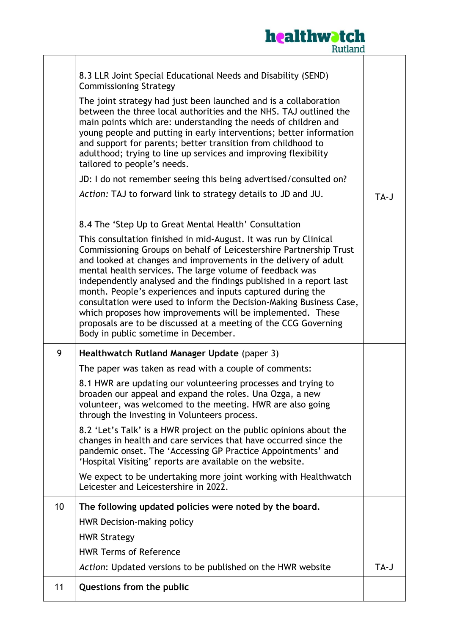

|                 | 8.3 LLR Joint Special Educational Needs and Disability (SEND)<br><b>Commissioning Strategy</b><br>The joint strategy had just been launched and is a collaboration<br>between the three local authorities and the NHS. TAJ outlined the<br>main points which are: understanding the needs of children and<br>young people and putting in early interventions; better information<br>and support for parents; better transition from childhood to<br>adulthood; trying to line up services and improving flexibility<br>tailored to people's needs.<br>JD: I do not remember seeing this being advertised/consulted on?<br>Action: TAJ to forward link to strategy details to JD and JU.<br>8.4 The 'Step Up to Great Mental Health' Consultation<br>This consultation finished in mid-August. It was run by Clinical<br>Commissioning Groups on behalf of Leicestershire Partnership Trust<br>and looked at changes and improvements in the delivery of adult<br>mental health services. The large volume of feedback was<br>independently analysed and the findings published in a report last<br>month. People's experiences and inputs captured during the<br>consultation were used to inform the Decision-Making Business Case,<br>which proposes how improvements will be implemented. These<br>proposals are to be discussed at a meeting of the CCG Governing<br>Body in public sometime in December. | TA-J |
|-----------------|---------------------------------------------------------------------------------------------------------------------------------------------------------------------------------------------------------------------------------------------------------------------------------------------------------------------------------------------------------------------------------------------------------------------------------------------------------------------------------------------------------------------------------------------------------------------------------------------------------------------------------------------------------------------------------------------------------------------------------------------------------------------------------------------------------------------------------------------------------------------------------------------------------------------------------------------------------------------------------------------------------------------------------------------------------------------------------------------------------------------------------------------------------------------------------------------------------------------------------------------------------------------------------------------------------------------------------------------------------------------------------------------------------------|------|
| 9               | Healthwatch Rutland Manager Update (paper 3)                                                                                                                                                                                                                                                                                                                                                                                                                                                                                                                                                                                                                                                                                                                                                                                                                                                                                                                                                                                                                                                                                                                                                                                                                                                                                                                                                                  |      |
|                 | The paper was taken as read with a couple of comments:<br>8.1 HWR are updating our volunteering processes and trying to<br>broaden our appeal and expand the roles. Una Ozga, a new<br>volunteer, was welcomed to the meeting. HWR are also going<br>through the Investing in Volunteers process.<br>8.2 'Let's Talk' is a HWR project on the public opinions about the<br>changes in health and care services that have occurred since the<br>pandemic onset. The 'Accessing GP Practice Appointments' and<br>'Hospital Visiting' reports are available on the website.                                                                                                                                                                                                                                                                                                                                                                                                                                                                                                                                                                                                                                                                                                                                                                                                                                      |      |
|                 | We expect to be undertaking more joint working with Healthwatch<br>Leicester and Leicestershire in 2022.                                                                                                                                                                                                                                                                                                                                                                                                                                                                                                                                                                                                                                                                                                                                                                                                                                                                                                                                                                                                                                                                                                                                                                                                                                                                                                      |      |
| 10 <sup>°</sup> | The following updated policies were noted by the board.<br>HWR Decision-making policy<br><b>HWR Strategy</b>                                                                                                                                                                                                                                                                                                                                                                                                                                                                                                                                                                                                                                                                                                                                                                                                                                                                                                                                                                                                                                                                                                                                                                                                                                                                                                  |      |
|                 | <b>HWR Terms of Reference</b>                                                                                                                                                                                                                                                                                                                                                                                                                                                                                                                                                                                                                                                                                                                                                                                                                                                                                                                                                                                                                                                                                                                                                                                                                                                                                                                                                                                 |      |
|                 | Action: Updated versions to be published on the HWR website                                                                                                                                                                                                                                                                                                                                                                                                                                                                                                                                                                                                                                                                                                                                                                                                                                                                                                                                                                                                                                                                                                                                                                                                                                                                                                                                                   | TA-J |
| 11              | Questions from the public                                                                                                                                                                                                                                                                                                                                                                                                                                                                                                                                                                                                                                                                                                                                                                                                                                                                                                                                                                                                                                                                                                                                                                                                                                                                                                                                                                                     |      |
|                 |                                                                                                                                                                                                                                                                                                                                                                                                                                                                                                                                                                                                                                                                                                                                                                                                                                                                                                                                                                                                                                                                                                                                                                                                                                                                                                                                                                                                               |      |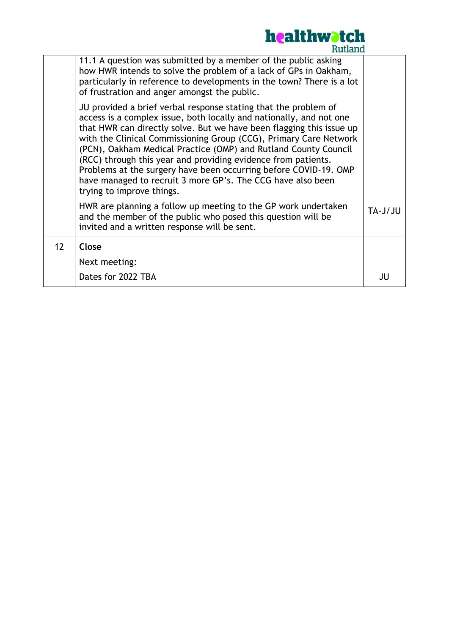

|    | nuuduu                                                                                                                                                                                                                                                                                                                                                                                                                                                                                                                                                                                  |         |
|----|-----------------------------------------------------------------------------------------------------------------------------------------------------------------------------------------------------------------------------------------------------------------------------------------------------------------------------------------------------------------------------------------------------------------------------------------------------------------------------------------------------------------------------------------------------------------------------------------|---------|
|    | 11.1 A question was submitted by a member of the public asking<br>how HWR intends to solve the problem of a lack of GPs in Oakham,<br>particularly in reference to developments in the town? There is a lot<br>of frustration and anger amongst the public.                                                                                                                                                                                                                                                                                                                             |         |
|    | JU provided a brief verbal response stating that the problem of<br>access is a complex issue, both locally and nationally, and not one<br>that HWR can directly solve. But we have been flagging this issue up<br>with the Clinical Commissioning Group (CCG), Primary Care Network<br>(PCN), Oakham Medical Practice (OMP) and Rutland County Council<br>(RCC) through this year and providing evidence from patients.<br>Problems at the surgery have been occurring before COVID-19. OMP<br>have managed to recruit 3 more GP's. The CCG have also been<br>trying to improve things. |         |
|    | HWR are planning a follow up meeting to the GP work undertaken<br>and the member of the public who posed this question will be<br>invited and a written response will be sent.                                                                                                                                                                                                                                                                                                                                                                                                          | UL/L-AT |
| 12 | Close                                                                                                                                                                                                                                                                                                                                                                                                                                                                                                                                                                                   |         |
|    | Next meeting:                                                                                                                                                                                                                                                                                                                                                                                                                                                                                                                                                                           |         |
|    | Dates for 2022 TBA                                                                                                                                                                                                                                                                                                                                                                                                                                                                                                                                                                      | JU      |